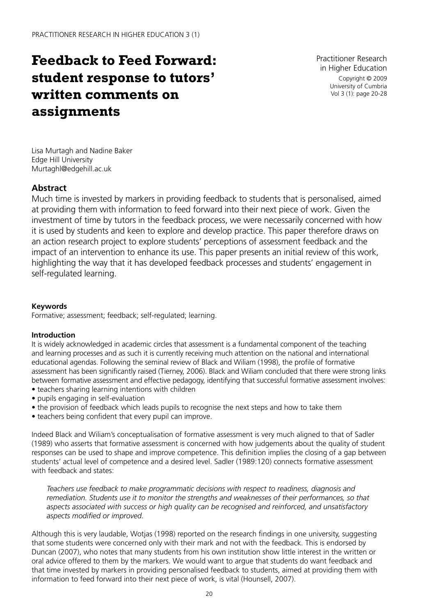# **Feedback to Feed Forward: student response to tutors' written comments on assignments**

Practitioner Research in Higher Education Copyright © 2009 University of Cumbria Vol 3 (1): page 20-28

Lisa Murtagh and Nadine Baker Edge Hill University Murtaghl@edgehill.ac.uk

## **Abstract**

Much time is invested by markers in providing feedback to students that is personalised, aimed at providing them with information to feed forward into their next piece of work. Given the investment of time by tutors in the feedback process, we were necessarily concerned with how it is used by students and keen to explore and develop practice. This paper therefore draws on an action research project to explore students' perceptions of assessment feedback and the impact of an intervention to enhance its use. This paper presents an initial review of this work, highlighting the way that it has developed feedback processes and students' engagement in self-regulated learning.

## **Keywords**

Formative; assessment; feedback; self-regulated; learning.

#### **Introduction**

It is widely acknowledged in academic circles that assessment is a fundamental component of the teaching and learning processes and as such it is currently receiving much attention on the national and international educational agendas. Following the seminal review of Black and Wiliam (1998), the profile of formative assessment has been significantly raised (Tierney, 2006). Black and Wiliam concluded that there were strong links between formative assessment and effective pedagogy, identifying that successful formative assessment involves:

- teachers sharing learning intentions with children
- pupils engaging in self-evaluation
- the provision of feedback which leads pupils to recognise the next steps and how to take them
- teachers being confident that every pupil can improve.

Indeed Black and Wiliam's conceptualisation of formative assessment is very much aligned to that of Sadler (1989) who asserts that formative assessment is concerned with how judgements about the quality of student responses can be used to shape and improve competence. This definition implies the closing of a gap between students' actual level of competence and a desired level. Sadler (1989:120) connects formative assessment with feedback and states:

*Teachers use feedback to make programmatic decisions with respect to readiness, diagnosis and remediation. Students use it to monitor the strengths and weaknesses of their performances, so that aspects associated with success or high quality can be recognised and reinforced, and unsatisfactory aspects modified or improved.*

Although this is very laudable, Wotjas (1998) reported on the research findings in one university, suggesting that some students were concerned only with their mark and not with the feedback. This is endorsed by Duncan (2007), who notes that many students from his own institution show little interest in the written or oral advice offered to them by the markers. We would want to argue that students do want feedback and that time invested by markers in providing personalised feedback to students, aimed at providing them with information to feed forward into their next piece of work, is vital (Hounsell, 2007).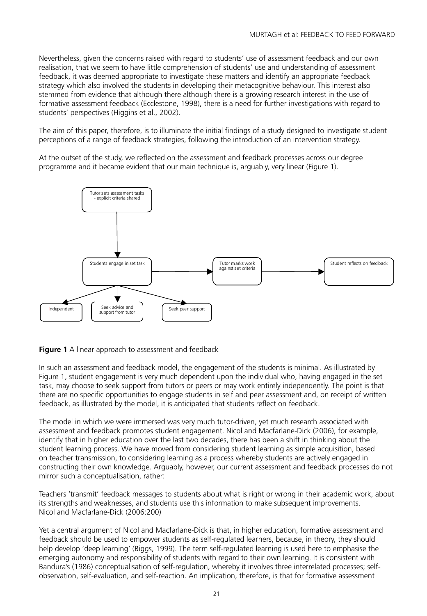Nevertheless, given the concerns raised with regard to students' use of assessment feedback and our own realisation, that we seem to have little comprehension of students' use and understanding of assessment feedback, it was deemed appropriate to investigate these matters and identify an appropriate feedback strategy which also involved the students in developing their metacognitive behaviour. This interest also stemmed from evidence that although there although there is a growing research interest in the use of formative assessment feedback (Ecclestone, 1998), there is a need for further investigations with regard to students' perspectives (Higgins et al., 2002).

The aim of this paper, therefore, is to illuminate the initial findings of a study designed to investigate student perceptions of a range of feedback strategies, following the introduction of an intervention strategy.

At the outset of the study, we reflected on the assessment and feedback processes across our degree programme and it became evident that our main technique is, arguably, very linear (Figure 1).



**Figure 1** A linear approach to assessment and feedback

In such an assessment and feedback model, the engagement of the students is minimal. As illustrated by Figure 1, student engagement is very much dependent upon the individual who, having engaged in the set task, may choose to seek support from tutors or peers or may work entirely independently. The point is that there are no specific opportunities to engage students in self and peer assessment and, on receipt of written feedback, as illustrated by the model, it is anticipated that students reflect on feedback.

The model in which we were immersed was very much tutor-driven, yet much research associated with assessment and feedback promotes student engagement. Nicol and Macfarlane-Dick (2006), for example, identify that in higher education over the last two decades, there has been a shift in thinking about the student learning process. We have moved from considering student learning as simple acquisition, based on teacher transmission, to considering learning as a process whereby students are actively engaged in constructing their own knowledge. Arguably, however, our current assessment and feedback processes do not mirror such a conceptualisation, rather:

Teachers 'transmit' feedback messages to students about what is right or wrong in their academic work, about its strengths and weaknesses, and students use this information to make subsequent improvements. Nicol and Macfarlane-Dick (2006:200)

Yet a central argument of Nicol and Macfarlane-Dick is that, in higher education, formative assessment and feedback should be used to empower students as self-regulated learners, because, in theory, they should help develop 'deep learning' (Biggs, 1999). The term self-regulated learning is used here to emphasise the emerging autonomy and responsibility of students with regard to their own learning. It is consistent with Bandura's (1986) conceptualisation of self-regulation, whereby it involves three interrelated processes; selfobservation, self-evaluation, and self-reaction. An implication, therefore, is that for formative assessment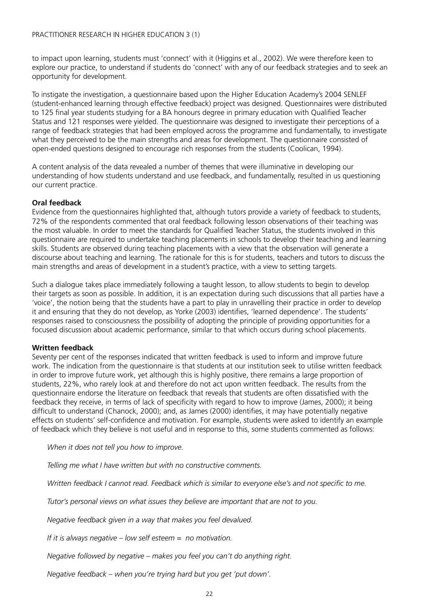to impact upon learning, students must 'connect' with it (Higgins et al., 2002). We were therefore keen to explore our practice, to understand if students do 'connect' with any of our feedback strategies and to seek an opportunity for development.

To instigate the investigation, a questionnaire based upon the Higher Education Academy's 2004 SENLEF (student-enhanced learning through effective feedback) project was designed. Questionnaires were distributed to 125 final year students studying for a BA honours degree in primary education with Qualified Teacher Status and 121 responses were yielded. The questionnaire was designed to investigate their perceptions of a range of feedback strategies that had been employed across the programme and fundamentally, to investigate what they perceived to be the main strengths and areas for development. The questionnaire consisted of open-ended questions designed to encourage rich responses from the students (Coolican, 1994).

A content analysis of the data revealed a number of themes that were illuminative in developing our understanding of how students understand and use feedback, and fundamentally, resulted in us questioning our current practice.

#### **Oral feedback**

Evidence from the questionnaires highlighted that, although tutors provide a variety of feedback to students, 72% of the respondents commented that oral feedback following lesson observations of their teaching was the most valuable. In order to meet the standards for Qualified Teacher Status, the students involved in this questionnaire are required to undertake teaching placements in schools to develop their teaching and learning skills. Students are observed during teaching placements with a view that the observation will generate a discourse about teaching and learning. The rationale for this is for students, teachers and tutors to discuss the main strengths and areas of development in a student's practice, with a view to setting targets.

Such a dialogue takes place immediately following a taught lesson, to allow students to begin to develop their targets as soon as possible. In addition, it is an expectation during such discussions that all parties have a 'voice', the notion being that the students have a part to play in unravelling their practice in order to develop it and ensuring that they do not develop, as Yorke (2003) identifies, 'learned dependence'. The students' responses raised to consciousness the possibility of adopting the principle of providing opportunities for a focused discussion about academic performance, similar to that which occurs during school placements.

#### **Written feedback**

Seventy per cent of the responses indicated that written feedback is used to inform and improve future work. The indication from the questionnaire is that students at our institution seek to utilise written feedback in order to improve future work, yet although this is highly positive, there remains a large proportion of students, 22%, who rarely look at and therefore do not act upon written feedback. The results from the questionnaire endorse the literature on feedback that reveals that students are often dissatisfied with the feedback they receive, in terms of lack of specificity with regard to how to improve (James, 2000); it being difficult to understand (Chanock, 2000); and, as James (2000) identifies, it may have potentially negative effects on students' self-confidence and motivation. For example, students were asked to identify an example of feedback which they believe is not useful and in response to this, some students commented as follows:

*When it does not tell you how to improve.*

*Telling me what I have written but with no constructive comments.*

*Written feedback I cannot read. Feedback which is similar to everyone else's and not specific to me.*

*Tutor's personal views on what issues they believe are important that are not to you.* 

*Negative feedback given in a way that makes you feel devalued.*

*If it is always negative – low self esteem = no motivation.*

*Negative followed by negative – makes you feel you can't do anything right.*

*Negative feedback – when you're trying hard but you get 'put down'.*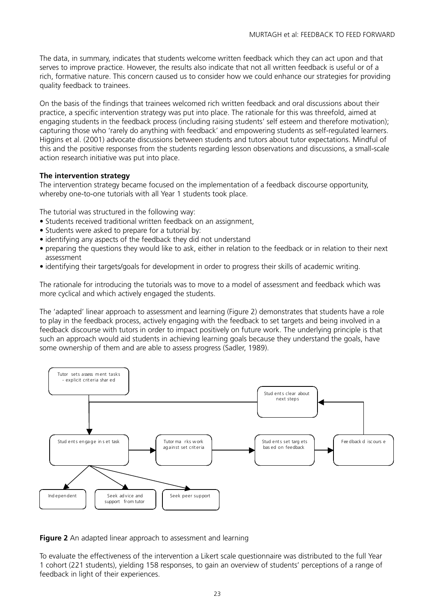The data, in summary, indicates that students welcome written feedback which they can act upon and that serves to improve practice. However, the results also indicate that not all written feedback is useful or of a rich, formative nature. This concern caused us to consider how we could enhance our strategies for providing quality feedback to trainees.

On the basis of the findings that trainees welcomed rich written feedback and oral discussions about their practice, a specific intervention strategy was put into place. The rationale for this was threefold, aimed at engaging students in the feedback process (including raising students' self esteem and therefore motivation); capturing those who 'rarely do anything with feedback' and empowering students as self-regulated learners. Higgins et al. (2001) advocate discussions between students and tutors about tutor expectations. Mindful of this and the positive responses from the students regarding lesson observations and discussions, a small-scale action research initiative was put into place.

#### **The intervention strategy**

The intervention strategy became focused on the implementation of a feedback discourse opportunity, whereby one-to-one tutorials with all Year 1 students took place.

The tutorial was structured in the following way:

- Students received traditional written feedback on an assignment,
- Students were asked to prepare for a tutorial by:
- identifying any aspects of the feedback they did not understand
- preparing the questions they would like to ask, either in relation to the feedback or in relation to their next assessment
- identifying their targets/goals for development in order to progress their skills of academic writing.

The rationale for introducing the tutorials was to move to a model of assessment and feedback which was more cyclical and which actively engaged the students.

The 'adapted' linear approach to assessment and learning (Figure 2) demonstrates that students have a role to play in the feedback process, actively engaging with the feedback to set targets and being involved in a feedback discourse with tutors in order to impact positively on future work. The underlying principle is that such an approach would aid students in achieving learning goals because they understand the goals, have some ownership of them and are able to assess progress (Sadler, 1989).



**Figure 2** An adapted linear approach to assessment and learning

To evaluate the effectiveness of the intervention a Likert scale questionnaire was distributed to the full Year 1 cohort (221 students), yielding 158 responses, to gain an overview of students' perceptions of a range of feedback in light of their experiences.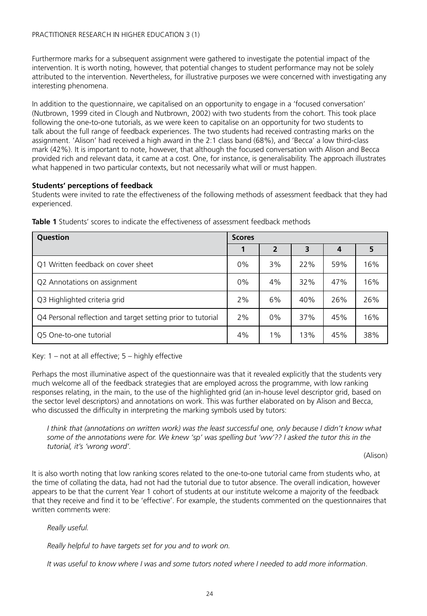Furthermore marks for a subsequent assignment were gathered to investigate the potential impact of the intervention. It is worth noting, however, that potential changes to student performance may not be solely attributed to the intervention. Nevertheless, for illustrative purposes we were concerned with investigating any interesting phenomena.

In addition to the questionnaire, we capitalised on an opportunity to engage in a 'focused conversation' (Nutbrown, 1999 cited in Clough and Nutbrown, 2002) with two students from the cohort. This took place following the one-to-one tutorials, as we were keen to capitalise on an opportunity for two students to talk about the full range of feedback experiences. The two students had received contrasting marks on the assignment. 'Alison' had received a high award in the 2:1 class band (68%), and 'Becca' a low third-class mark (42%). It is important to note, however, that although the focused conversation with Alison and Becca provided rich and relevant data, it came at a cost. One, for instance, is generalisability. The approach illustrates what happened in two particular contexts, but not necessarily what will or must happen.

#### **Students' perceptions of feedback**

Students were invited to rate the effectiveness of the following methods of assessment feedback that they had experienced.

| Question                                                    |    | <b>Scores</b> |     |     |     |  |
|-------------------------------------------------------------|----|---------------|-----|-----|-----|--|
|                                                             |    | 2             | 3   | 4   |     |  |
| Q1 Written feedback on cover sheet                          | 0% | 3%            | 22% | 59% | 16% |  |
| Q2 Annotations on assignment                                | 0% | 4%            | 32% | 47% | 16% |  |
| Q3 Highlighted criteria grid                                | 2% | 6%            | 40% | 26% | 26% |  |
| Q4 Personal reflection and target setting prior to tutorial | 2% | 0%            | 37% | 45% | 16% |  |
| Q5 One-to-one tutorial                                      |    | $1\%$         | 13% | 45% | 38% |  |

**Table 1** Students' scores to indicate the effectiveness of assessment feedback methods

Key: 1 – not at all effective; 5 – highly effective

Perhaps the most illuminative aspect of the questionnaire was that it revealed explicitly that the students very much welcome all of the feedback strategies that are employed across the programme, with low ranking responses relating, in the main, to the use of the highlighted grid (an in-house level descriptor grid, based on the sector level descriptors) and annotations on work. This was further elaborated on by Alison and Becca, who discussed the difficulty in interpreting the marking symbols used by tutors:

*I think that (annotations on written work) was the least successful one, only because I didn't know what some of the annotations were for. We knew 'sp' was spelling but 'ww'?? I asked the tutor this in the tutorial, it's 'wrong word'.*

(Alison)

It is also worth noting that low ranking scores related to the one-to-one tutorial came from students who, at the time of collating the data, had not had the tutorial due to tutor absence. The overall indication, however appears to be that the current Year 1 cohort of students at our institute welcome a majority of the feedback that they receive and find it to be 'effective'. For example, the students commented on the questionnaires that written comments were:

*Really useful.*

*Really helpful to have targets set for you and to work on.*

*It was useful to know where I was and some tutors noted where I needed to add more information*.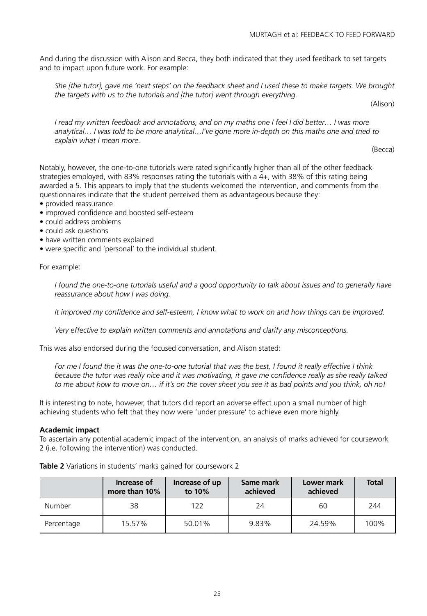And during the discussion with Alison and Becca, they both indicated that they used feedback to set targets and to impact upon future work. For example:

*She [the tutor], gave me 'next steps' on the feedback sheet and I used these to make targets. We brought the targets with us to the tutorials and [the tutor] went through everything.*

(Alison)

*I read my written feedback and annotations, and on my maths one I feel I did better… I was more analytical… I was told to be more analytical…I've gone more in-depth on this maths one and tried to explain what I mean more.* 

(Becca)

Notably, however, the one-to-one tutorials were rated significantly higher than all of the other feedback strategies employed, with 83% responses rating the tutorials with a 4+, with 38% of this rating being awarded a 5. This appears to imply that the students welcomed the intervention, and comments from the questionnaires indicate that the student perceived them as advantageous because they:

- provided reassurance
- improved confidence and boosted self-esteem
- could address problems
- could ask questions
- have written comments explained
- were specific and 'personal' to the individual student.

For example:

*I found the one-to-one tutorials useful and a good opportunity to talk about issues and to generally have reassurance about how I was doing.*

*It improved my confidence and self-esteem, I know what to work on and how things can be improved.*

*Very effective to explain written comments and annotations and clarify any misconceptions.*

This was also endorsed during the focused conversation, and Alison stated:

*For me I found the it was the one-to-one tutorial that was the best, I found it really effective I think because the tutor was really nice and it was motivating, it gave me confidence really as she really talked to me about how to move on… if it's on the cover sheet you see it as bad points and you think, oh no!*

It is interesting to note, however, that tutors did report an adverse effect upon a small number of high achieving students who felt that they now were 'under pressure' to achieve even more highly.

#### **Academic impact**

To ascertain any potential academic impact of the intervention, an analysis of marks achieved for coursework 2 (i.e. following the intervention) was conducted.

**Table 2** Variations in students' marks gained for coursework 2

|            | Increase of<br>more than 10% | Increase of up<br>to 10% | Same mark<br>achieved | Lower mark<br>achieved | <b>Total</b> |
|------------|------------------------------|--------------------------|-----------------------|------------------------|--------------|
| Number     | 38                           | 122                      | 24                    | 60                     | 244          |
| Percentage | 15.57%                       | 50.01%                   | 9.83%                 | 24.59%                 | 100%         |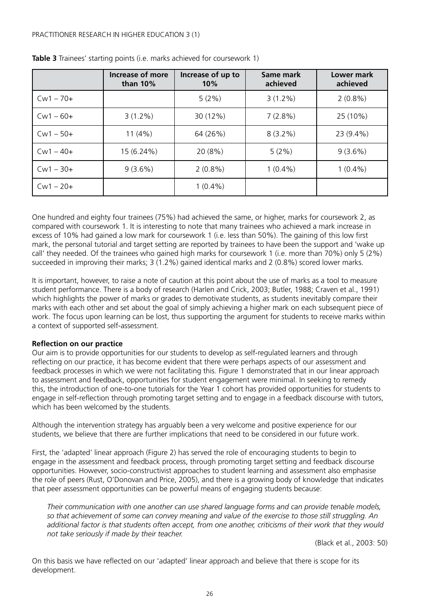|             | Increase of more<br>than $10\%$ | Increase of up to<br>10% | Same mark<br>achieved | Lower mark<br>achieved |
|-------------|---------------------------------|--------------------------|-----------------------|------------------------|
| $Cw1 - 70+$ |                                 | $5(2\%)$                 | $3(1.2\%)$            | $2(0.8\%)$             |
| $Cw1 - 60+$ | $3(1.2\%)$                      | 30 (12%)                 | $7(2.8\%)$            | 25 (10%)               |
| $Cw1 - 50+$ | 11(4%)                          | 64 (26%)                 | $8(3.2\%)$            | 23 (9.4%)              |
| $Cw1 - 40+$ | 15 (6.24%)                      | 20 (8%)                  | 5(2%)                 | 9(3.6%)                |
| $Cw1 - 30+$ | $9(3.6\%)$                      | $2(0.8\%)$               | $1(0.4\%)$            | $1(0.4\%)$             |
| $Cw1 - 20+$ |                                 | $1(0.4\%)$               |                       |                        |

**Table 3** Trainees' starting points (i.e. marks achieved for coursework 1)

One hundred and eighty four trainees (75%) had achieved the same, or higher, marks for coursework 2, as compared with coursework 1. It is interesting to note that many trainees who achieved a mark increase in excess of 10% had gained a low mark for coursework 1 (i.e. less than 50%). The gaining of this low first mark, the personal tutorial and target setting are reported by trainees to have been the support and 'wake up call' they needed. Of the trainees who gained high marks for coursework 1 (i.e. more than 70%) only 5 (2%) succeeded in improving their marks; 3 (1.2%) gained identical marks and 2 (0.8%) scored lower marks.

It is important, however, to raise a note of caution at this point about the use of marks as a tool to measure student performance. There is a body of research (Harlen and Crick, 2003; Butler, 1988; Craven et al., 1991) which highlights the power of marks or grades to demotivate students, as students inevitably compare their marks with each other and set about the goal of simply achieving a higher mark on each subsequent piece of work. The focus upon learning can be lost, thus supporting the argument for students to receive marks within a context of supported self-assessment.

#### **Reflection on our practice**

Our aim is to provide opportunities for our students to develop as self-regulated learners and through reflecting on our practice, it has become evident that there were perhaps aspects of our assessment and feedback processes in which we were not facilitating this. Figure 1 demonstrated that in our linear approach to assessment and feedback, opportunities for student engagement were minimal. In seeking to remedy this, the introduction of one-to-one tutorials for the Year 1 cohort has provided opportunities for students to engage in self-reflection through promoting target setting and to engage in a feedback discourse with tutors, which has been welcomed by the students.

Although the intervention strategy has arguably been a very welcome and positive experience for our students, we believe that there are further implications that need to be considered in our future work.

First, the 'adapted' linear approach (Figure 2) has served the role of encouraging students to begin to engage in the assessment and feedback process, through promoting target setting and feedback discourse opportunities. However, socio-constructivist approaches to student learning and assessment also emphasise the role of peers (Rust, O'Donovan and Price, 2005), and there is a growing body of knowledge that indicates that peer assessment opportunities can be powerful means of engaging students because:

*Their communication with one another can use shared language forms and can provide tenable models, so that achievement of some can convey meaning and value of the exercise to those still struggling. An additional factor is that students often accept, from one another, criticisms of their work that they would not take seriously if made by their teacher.*

(Black et al., 2003: 50)

On this basis we have reflected on our 'adapted' linear approach and believe that there is scope for its development.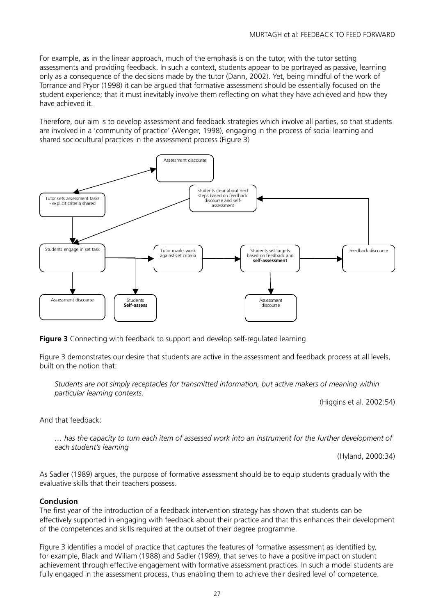For example, as in the linear approach, much of the emphasis is on the tutor, with the tutor setting assessments and providing feedback. In such a context, students appear to be portrayed as passive, learning only as a consequence of the decisions made by the tutor (Dann, 2002). Yet, being mindful of the work of Torrance and Pryor (1998) it can be argued that formative assessment should be essentially focused on the student experience; that it must inevitably involve them reflecting on what they have achieved and how they have achieved it.

Therefore, our aim is to develop assessment and feedback strategies which involve all parties, so that students are involved in a 'community of practice' (Wenger, 1998), engaging in the process of social learning and shared sociocultural practices in the assessment process (Figure 3)



**Figure 3** Connecting with feedback to support and develop self-regulated learning

Figure 3 demonstrates our desire that students are active in the assessment and feedback process at all levels, built on the notion that:

*Students are not simply receptacles for transmitted information, but active makers of meaning within particular learning contexts.*

(Higgins et al. 2002:54)

And that feedback:

*… has the capacity to turn each item of assessed work into an instrument for the further development of each student's learning*

(Hyland, 2000:34)

As Sadler (1989) argues, the purpose of formative assessment should be to equip students gradually with the evaluative skills that their teachers possess.

#### **Conclusion**

The first year of the introduction of a feedback intervention strategy has shown that students can be effectively supported in engaging with feedback about their practice and that this enhances their development of the competences and skills required at the outset of their degree programme.

Figure 3 identifies a model of practice that captures the features of formative assessment as identified by, for example, Black and Wiliam (1988) and Sadler (1989), that serves to have a positive impact on student achievement through effective engagement with formative assessment practices. In such a model students are fully engaged in the assessment process, thus enabling them to achieve their desired level of competence.